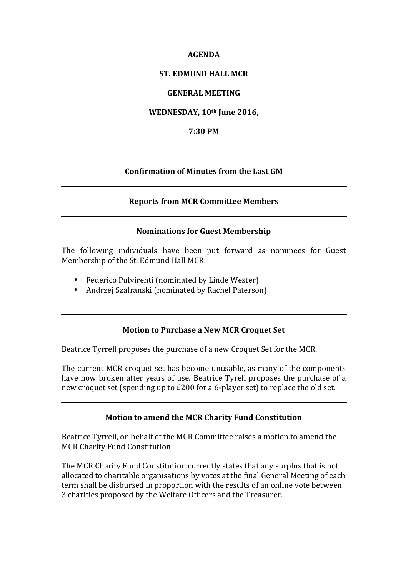#### **AGENDA**

# **ST. EDMUND HALL MCR**

# **GENERAL MEETING**

# **WEDNESDAY, 10th June 2016,**

### **7:30 PM**

# **Confirmation of Minutes from the Last GM**

#### **Reports from MCR Committee Members**

#### **Nominations for Guest Membership**

The following individuals have been put forward as nominees for Guest Membership of the St. Edmund Hall MCR:

- Federico Pulvirenti (nominated by Linde Wester)
- Andrzej Szafranski (nominated by Rachel Paterson)

# **Motion to Purchase a New MCR Croquet Set**

Beatrice Tyrrell proposes the purchase of a new Croquet Set for the MCR.

The current MCR croquet set has become unusable, as many of the components have now broken after years of use. Beatrice Tyrell proposes the purchase of a new croquet set (spending up to £200 for a 6-player set) to replace the old set.

# **Motion to amend the MCR Charity Fund Constitution**

Beatrice Tyrrell, on behalf of the MCR Committee raises a motion to amend the MCR Charity Fund Constitution

The MCR Charity Fund Constitution currently states that any surplus that is not allocated to charitable organisations by votes at the final General Meeting of each term shall be disbursed in proportion with the results of an online vote between 3 charities proposed by the Welfare Officers and the Treasurer.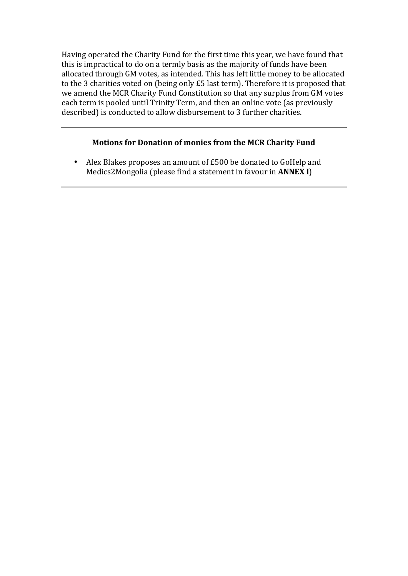Having operated the Charity Fund for the first time this year, we have found that this is impractical to do on a termly basis as the majority of funds have been allocated through GM votes, as intended. This has left little money to be allocated to the 3 charities voted on (being only £5 last term). Therefore it is proposed that we amend the MCR Charity Fund Constitution so that any surplus from GM votes each term is pooled until Trinity Term, and then an online vote (as previously described) is conducted to allow disbursement to 3 further charities.

# **Motions for Donation of monies from the MCR Charity Fund**

• Alex Blakes proposes an amount of £500 be donated to GoHelp and Medics2Mongolia (please find a statement in favour in **ANNEX I**)